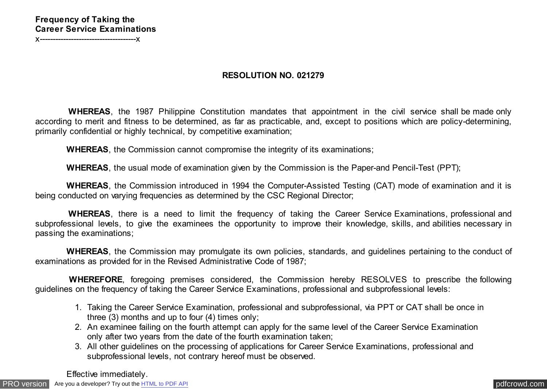## **Frequency of Taking the Career Service Examinations**

x-------------------------------------x

## **RESOLUTION NO. 021279**

 **WHEREAS**, the 1987 Philippine Constitution mandates that appointment in the civil service shall be made only according to merit and fitness to be determined, as far as practicable, and, except to positions which are policy-determining, primarily confidential or highly technical, by competitive examination;

 **WHEREAS**, the Commission cannot compromise the integrity of its examinations;

 **WHEREAS**, the usual mode of examination given by the Commission is the Paper-and Pencil-Test (PPT);

 **WHEREAS**, the Commission introduced in 1994 the Computer-Assisted Testing (CAT) mode of examination and it is being conducted on varying frequencies as determined by the CSC Regional Director;

 **WHEREAS**, there is a need to limit the frequency of taking the Career Service Examinations, professional and subprofessional levels, to give the examinees the opportunity to improve their knowledge, skills, and abilities necessary in passing the examinations;

 **WHEREAS**, the Commission may promulgate its own policies, standards, and guidelines pertaining to the conduct of examinations as provided for in the Revised Administrative Code of 1987;

 **WHEREFORE**, foregoing premises considered, the Commission hereby RESOLVES to prescribe the following guidelines on the frequency of taking the Career Service Examinations, professional and subprofessional levels:

- 1. Taking the Career Service Examination, professional and subprofessional, via PPT or CAT shall be once in three (3) months and up to four (4) times only;
- 2. An examinee failing on the fourth attempt can apply for the same level of the Career Service Examination only after two years from the date of the fourth examination taken;
- 3. All other guidelines on the processing of applications for Career Service Examinations, professional and subprofessional levels, not contrary hereof must be observed.

Effective immediately.